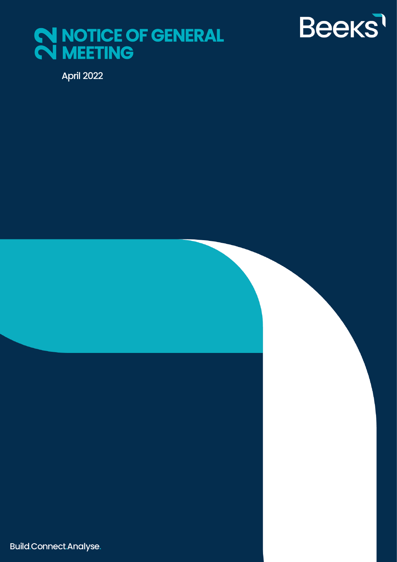



April 2022

Build.Connect.Analyse.

 $B_{\rm eff}$  Financial Cloud Group  $P$  and  $\Delta$  is a  $19$  september 2019  $\pm$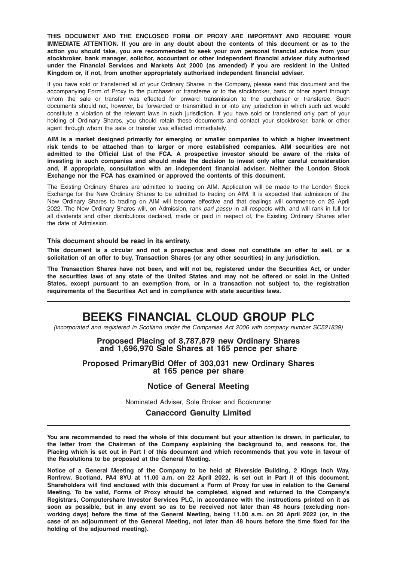THIS DOCUMENT AND THE ENCLOSED FORM OF PROXY ARE IMPORTANT AND REQUIRE YOUR IMMEDIATE ATTENTION. If you are in any doubt about the contents of this document or as to the action you should take, you are recommended to seek your own personal financial advice from your stockbroker, bank manager, solicitor, accountant or other independent financial adviser duly authorised under the Financial Services and Markets Act 2000 (as amended) if you are resident in the United Kingdom or, if not, from another appropriately authorised independent financial adviser.

If you have sold or transferred all of your Ordinary Shares in the Company, please send this document and the accompanying Form of Proxy to the purchaser or transferee or to the stockbroker, bank or other agent through whom the sale or transfer was effected for onward transmission to the purchaser or transferee. Such documents should not, however, be forwarded or transmitted in or into any jurisdiction in which such act would constitute a violation of the relevant laws in such jurisdiction. If you have sold or transferred only part of your holding of Ordinary Shares, you should retain these documents and contact your stockbroker, bank or other agent through whom the sale or transfer was effected immediately.

AIM is a market designed primarily for emerging or smaller companies to which a higher investment risk tends to be attached than to larger or more established companies. AIM securities are not admitted to the Official List of the FCA. A prospective investor should be aware of the risks of investing in such companies and should make the decision to invest only after careful consideration and, if appropriate, consultation with an independent financial adviser. Neither the London Stock Exchange nor the FCA has examined or approved the contents of this document.

The Existing Ordinary Shares are admitted to trading on AIM. Application will be made to the London Stock Exchange for the New Ordinary Shares to be admitted to trading on AIM. It is expected that admission of the New Ordinary Shares to trading on AIM will become effective and that dealings will commence on 25 April 2022. The New Ordinary Shares will, on Admission, rank pari passu in all respects with, and will rank in full for all dividends and other distributions declared, made or paid in respect of, the Existing Ordinary Shares after the date of Admission.

#### This document should be read in its entirety.

This document is a circular and not a prospectus and does not constitute an offer to sell, or a solicitation of an offer to buy, Transaction Shares (or any other securities) in any jurisdiction.

The Transaction Shares have not been, and will not be, registered under the Securities Act, or under the securities laws of any state of the United States and may not be offered or sold in the United States, except pursuant to an exemption from, or in a transaction not subject to, the registration requirements of the Securities Act and in compliance with state securities laws.

## BEEKS FINANCIAL CLOUD GROUP PLC

(Incorporated and registered in Scotland under the Companies Act 2006 with company number SC521839)

#### Proposed Placing of 8,787,879 new Ordinary Shares and 1,696,970 Sale Shares at 165 pence per share

# Proposed PrimaryBid Offer of 303,031 new Ordinary Shares at 165 pence per share

#### Notice of General Meeting

Nominated Adviser, Sole Broker and Bookrunner

Canaccord Genuity Limited

You are recommended to read the whole of this document but your attention is drawn, in particular, to the letter from the Chairman of the Company explaining the background to, and reasons for, the Placing which is set out in Part I of this document and which recommends that you vote in favour of the Resolutions to be proposed at the General Meeting.

Notice of a General Meeting of the Company to be held at Riverside Building, 2 Kings Inch Way, Renfrew, Scotland, PA4 8YU at 11.00 a.m. on 22 April 2022, is set out in Part II of this document. Shareholders will find enclosed with this document a Form of Proxy for use in relation to the General Meeting. To be valid, Forms of Proxy should be completed, signed and returned to the Company's Registrars, Computershare Investor Services PLC, in accordance with the instructions printed on it as soon as possible, but in any event so as to be received not later than 48 hours (excluding nonworking days) before the time of the General Meeting, being 11.00 a.m. on 20 April 2022 (or, in the case of an adjournment of the General Meeting, not later than 48 hours before the time fixed for the holding of the adjourned meeting).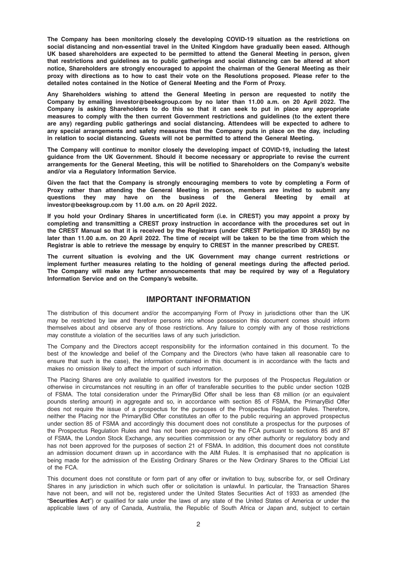The Company has been monitoring closely the developing COVID-19 situation as the restrictions on social distancing and non-essential travel in the United Kingdom have gradually been eased. Although UK based shareholders are expected to be permitted to attend the General Meeting in person, given that restrictions and guidelines as to public gatherings and social distancing can be altered at short notice, Shareholders are strongly encouraged to appoint the chairman of the General Meeting as their proxy with directions as to how to cast their vote on the Resolutions proposed. Please refer to the detailed notes contained in the Notice of General Meeting and the Form of Proxy.

Any Shareholders wishing to attend the General Meeting in person are requested to notify the Company by emailing investor@beeksgroup.com by no later than 11.00 a.m. on 20 April 2022. The Company is asking Shareholders to do this so that it can seek to put in place any appropriate measures to comply with the then current Government restrictions and guidelines (to the extent there are any) regarding public gatherings and social distancing. Attendees will be expected to adhere to any special arrangements and safety measures that the Company puts in place on the day, including in relation to social distancing. Guests will not be permitted to attend the General Meeting.

The Company will continue to monitor closely the developing impact of COVID-19, including the latest guidance from the UK Government. Should it become necessary or appropriate to revise the current arrangements for the General Meeting, this will be notified to Shareholders on the Company's website and/or via a Regulatory Information Service.

Given the fact that the Company is strongly encouraging members to vote by completing a Form of Proxy rather than attending the General Meeting in person, members are invited to submit any questions they may have on the business of the General Meeting by email at investor@beeksgroup.com by 11.00 a.m. on 20 April 2022.

If you hold your Ordinary Shares in uncertificated form (i.e. in CREST) you may appoint a proxy by completing and transmitting a CREST proxy instruction in accordance with the procedures set out in the CREST Manual so that it is received by the Registrars (under CREST Participation ID 3RA50) by no later than 11.00 a.m. on 20 April 2022. The time of receipt will be taken to be the time from which the Registrar is able to retrieve the message by enquiry to CREST in the manner prescribed by CREST.

The current situation is evolving and the UK Government may change current restrictions or implement further measures relating to the holding of general meetings during the affected period. The Company will make any further announcements that may be required by way of a Regulatory Information Service and on the Company's website.

#### IMPORTANT INFORMATION

The distribution of this document and/or the accompanying Form of Proxy in jurisdictions other than the UK may be restricted by law and therefore persons into whose possession this document comes should inform themselves about and observe any of those restrictions. Any failure to comply with any of those restrictions may constitute a violation of the securities laws of any such jurisdiction.

The Company and the Directors accept responsibility for the information contained in this document. To the best of the knowledge and belief of the Company and the Directors (who have taken all reasonable care to ensure that such is the case), the information contained in this document is in accordance with the facts and makes no omission likely to affect the import of such information.

The Placing Shares are only available to qualified investors for the purposes of the Prospectus Regulation or otherwise in circumstances not resulting in an offer of transferable securities to the public under section 102B of FSMA. The total consideration under the PrimaryBid Offer shall be less than €8 million (or an equivalent pounds sterling amount) in aggregate and so, in accordance with section 85 of FSMA, the PrimaryBid Offer does not require the issue of a prospectus for the purposes of the Prospectus Regulation Rules. Therefore, neither the Placing nor the PrimaryBid Offer constitutes an offer to the public requiring an approved prospectus under section 85 of FSMA and accordingly this document does not constitute a prospectus for the purposes of the Prospectus Regulation Rules and has not been pre-approved by the FCA pursuant to sections 85 and 87 of FSMA, the London Stock Exchange, any securities commission or any other authority or regulatory body and has not been approved for the purposes of section 21 of FSMA. In addition, this document does not constitute an admission document drawn up in accordance with the AIM Rules. It is emphasised that no application is being made for the admission of the Existing Ordinary Shares or the New Ordinary Shares to the Official List of the FCA.

This document does not constitute or form part of any offer or invitation to buy, subscribe for, or sell Ordinary Shares in any jurisdiction in which such offer or solicitation is unlawful. In particular, the Transaction Shares have not been, and will not be, registered under the United States Securities Act of 1933 as amended (the "Securities Act") or qualified for sale under the laws of any state of the United States of America or under the applicable laws of any of Canada, Australia, the Republic of South Africa or Japan and, subject to certain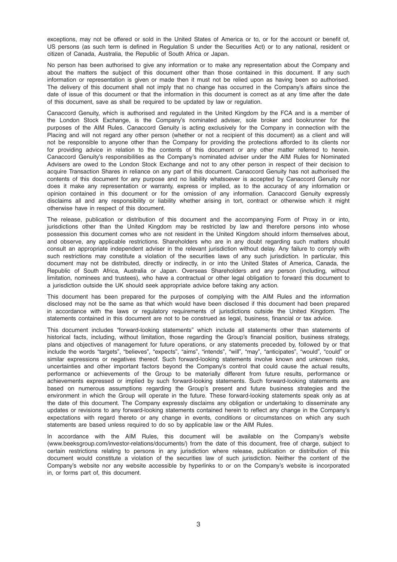exceptions, may not be offered or sold in the United States of America or to, or for the account or benefit of, US persons (as such term is defined in Regulation S under the Securities Act) or to any national, resident or citizen of Canada, Australia, the Republic of South Africa or Japan.

No person has been authorised to give any information or to make any representation about the Company and about the matters the subject of this document other than those contained in this document. If any such information or representation is given or made then it must not be relied upon as having been so authorised. The delivery of this document shall not imply that no change has occurred in the Company's affairs since the date of issue of this document or that the information in this document is correct as at any time after the date of this document, save as shall be required to be updated by law or regulation.

Canaccord Genuity, which is authorised and regulated in the United Kingdom by the FCA and is a member of the London Stock Exchange, is the Company's nominated adviser, sole broker and bookrunner for the purposes of the AIM Rules. Canaccord Genuity is acting exclusively for the Company in connection with the Placing and will not regard any other person (whether or not a recipient of this document) as a client and will not be responsible to anyone other than the Company for providing the protections afforded to its clients nor for providing advice in relation to the contents of this document or any other matter referred to herein. Canaccord Genuity's responsibilities as the Company's nominated adviser under the AIM Rules for Nominated Advisers are owed to the London Stock Exchange and not to any other person in respect of their decision to acquire Transaction Shares in reliance on any part of this document. Canaccord Genuity has not authorised the contents of this document for any purpose and no liability whatsoever is accepted by Canaccord Genuity nor does it make any representation or warranty, express or implied, as to the accuracy of any information or opinion contained in this document or for the omission of any information. Canaccord Genuity expressly disclaims all and any responsibility or liability whether arising in tort, contract or otherwise which it might otherwise have in respect of this document.

The release, publication or distribution of this document and the accompanying Form of Proxy in or into, jurisdictions other than the United Kingdom may be restricted by law and therefore persons into whose possession this document comes who are not resident in the United Kingdom should inform themselves about, and observe, any applicable restrictions. Shareholders who are in any doubt regarding such matters should consult an appropriate independent adviser in the relevant jurisdiction without delay. Any failure to comply with such restrictions may constitute a violation of the securities laws of any such jurisdiction. In particular, this document may not be distributed, directly or indirectly, in or into the United States of America, Canada, the Republic of South Africa, Australia or Japan. Overseas Shareholders and any person (including, without limitation, nominees and trustees), who have a contractual or other legal obligation to forward this document to a jurisdiction outside the UK should seek appropriate advice before taking any action.

This document has been prepared for the purposes of complying with the AIM Rules and the information disclosed may not be the same as that which would have been disclosed if this document had been prepared in accordance with the laws or regulatory requirements of jurisdictions outside the United Kingdom. The statements contained in this document are not to be construed as legal, business, financial or tax advice.

This document includes "forward-looking statements" which include all statements other than statements of historical facts, including, without limitation, those regarding the Group's financial position, business strategy, plans and objectives of management for future operations, or any statements preceded by, followed by or that include the words "targets", "believes", "expects", "aims", "intends", "will", "may", "anticipates", "would", "could" or similar expressions or negatives thereof. Such forward-looking statements involve known and unknown risks, uncertainties and other important factors beyond the Company's control that could cause the actual results, performance or achievements of the Group to be materially different from future results, performance or achievements expressed or implied by such forward-looking statements. Such forward-looking statements are based on numerous assumptions regarding the Group's present and future business strategies and the environment in which the Group will operate in the future. These forward-looking statements speak only as at the date of this document. The Company expressly disclaims any obligation or undertaking to disseminate any updates or revisions to any forward-looking statements contained herein to reflect any change in the Company's expectations with regard thereto or any change in events, conditions or circumstances on which any such statements are based unless required to do so by applicable law or the AIM Rules.

In accordance with the AIM Rules, this document will be available on the Company's website (www.beeksgroup.com/investor-relations/documents/) from the date of this document, free of charge, subject to certain restrictions relating to persons in any jurisdiction where release, publication or distribution of this document would constitute a violation of the securities law of such jurisdiction. Neither the content of the Company's website nor any website accessible by hyperlinks to or on the Company's website is incorporated in, or forms part of, this document.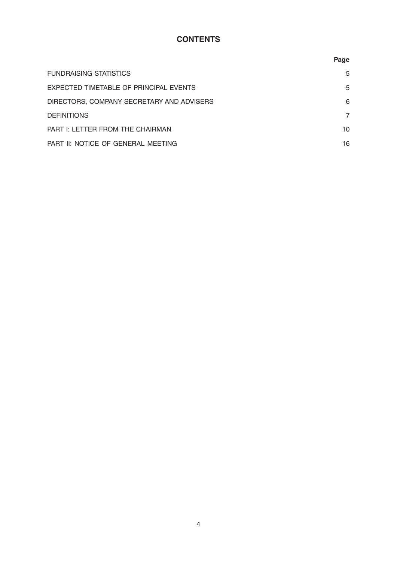## **CONTENTS**

|                                           | Page |
|-------------------------------------------|------|
| <b>FUNDRAISING STATISTICS</b>             | 5    |
| EXPECTED TIMETABLE OF PRINCIPAL EVENTS    | 5    |
| DIRECTORS, COMPANY SECRETARY AND ADVISERS | 6    |
| <b>DEFINITIONS</b>                        | 7    |
| PART I: LETTER FROM THE CHAIRMAN          | 10   |
| PART II: NOTICE OF GENERAL MEETING        | 16   |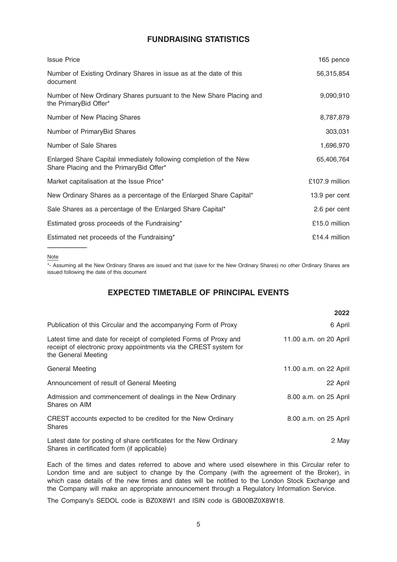## FUNDRAISING STATISTICS

| <b>Issue Price</b>                                                                                            | 165 pence       |
|---------------------------------------------------------------------------------------------------------------|-----------------|
| Number of Existing Ordinary Shares in issue as at the date of this<br>document                                | 56,315,854      |
| Number of New Ordinary Shares pursuant to the New Share Placing and<br>the PrimaryBid Offer*                  | 9,090,910       |
| Number of New Placing Shares                                                                                  | 8,787,879       |
| Number of PrimaryBid Shares                                                                                   | 303,031         |
| Number of Sale Shares                                                                                         | 1,696,970       |
| Enlarged Share Capital immediately following completion of the New<br>Share Placing and the PrimaryBid Offer* | 65,406,764      |
| Market capitalisation at the Issue Price*                                                                     | £107.9 million  |
| New Ordinary Shares as a percentage of the Enlarged Share Capital*                                            | 13.9 per cent   |
| Sale Shares as a percentage of the Enlarged Share Capital*                                                    | 2.6 per cent    |
| Estimated gross proceeds of the Fundraising*                                                                  | £15.0 million   |
| Estimated net proceeds of the Fundraising*                                                                    | $£14.4$ million |

#### Note

—————

\*- Assuming all the New Ordinary Shares are issued and that (save for the New Ordinary Shares) no other Ordinary Shares are issued following the date of this document

### EXPECTED TIMETABLE OF PRINCIPAL EVENTS

|                                                                                                                                                              | 2022                   |
|--------------------------------------------------------------------------------------------------------------------------------------------------------------|------------------------|
| Publication of this Circular and the accompanying Form of Proxy                                                                                              | 6 April                |
| Latest time and date for receipt of completed Forms of Proxy and<br>receipt of electronic proxy appointments via the CREST system for<br>the General Meeting | 11.00 a.m. on 20 April |
| <b>General Meeting</b>                                                                                                                                       | 11.00 a.m. on 22 April |
| Announcement of result of General Meeting                                                                                                                    | 22 April               |
| Admission and commencement of dealings in the New Ordinary<br>Shares on AIM                                                                                  | 8.00 a.m. on 25 April  |
| CREST accounts expected to be credited for the New Ordinary<br><b>Shares</b>                                                                                 | 8.00 a.m. on 25 April  |
| Latest date for posting of share certificates for the New Ordinary<br>Shares in certificated form (if applicable)                                            | 2 May                  |

Each of the times and dates referred to above and where used elsewhere in this Circular refer to London time and are subject to change by the Company (with the agreement of the Broker), in which case details of the new times and dates will be notified to the London Stock Exchange and the Company will make an appropriate announcement through a Regulatory Information Service.

The Company's SEDOL code is BZ0X8W1 and ISIN code is GB00BZ0X8W18.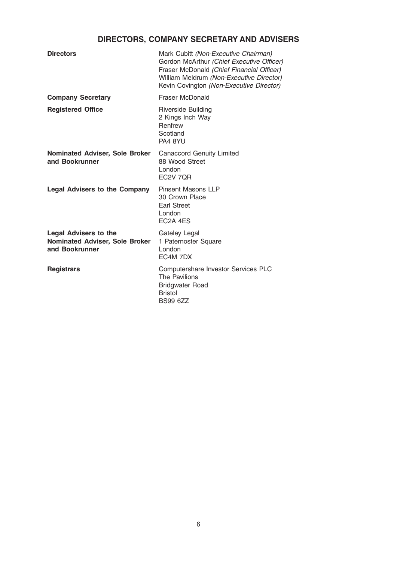## DIRECTORS, COMPANY SECRETARY AND ADVISERS

| <b>Directors</b>                                                                 | Mark Cubitt (Non-Executive Chairman)<br>Gordon McArthur (Chief Executive Officer)<br>Fraser McDonald (Chief Financial Officer)<br>William Meldrum (Non-Executive Director)<br>Kevin Covington (Non-Executive Director) |
|----------------------------------------------------------------------------------|------------------------------------------------------------------------------------------------------------------------------------------------------------------------------------------------------------------------|
| <b>Company Secretary</b>                                                         | Fraser McDonald                                                                                                                                                                                                        |
| <b>Registered Office</b>                                                         | <b>Riverside Building</b><br>2 Kings Inch Way<br>Renfrew<br>Scotland<br>PA4 8YU                                                                                                                                        |
| <b>Nominated Adviser, Sole Broker</b><br>and Bookrunner                          | <b>Canaccord Genuity Limited</b><br>88 Wood Street<br>London<br>EC2V 7QR                                                                                                                                               |
| <b>Legal Advisers to the Company</b>                                             | <b>Pinsent Masons LLP</b><br>30 Crown Place<br><b>Earl Street</b><br>London<br>EC <sub>2</sub> A 4ES                                                                                                                   |
| <b>Legal Advisers to the</b><br>Nominated Adviser, Sole Broker<br>and Bookrunner | Gateley Legal<br>1 Paternoster Square<br>London<br>EC4M 7DX                                                                                                                                                            |
| <b>Registrars</b>                                                                | Computershare Investor Services PLC<br>The Pavilions<br><b>Bridgwater Road</b><br><b>Bristol</b><br><b>BS99 6ZZ</b>                                                                                                    |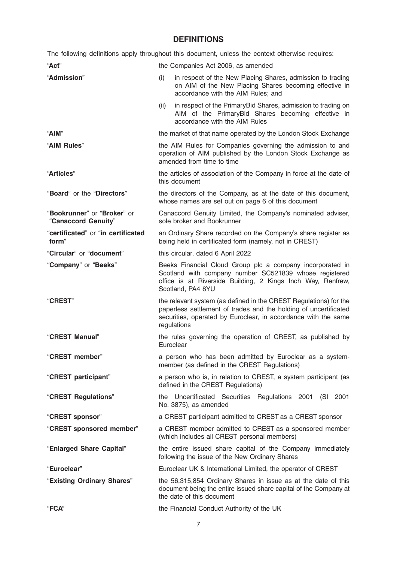## DEFINITIONS

|                                                    | The following definitions apply throughout this document, unless the context otherwise requires:                                                                                                                       |
|----------------------------------------------------|------------------------------------------------------------------------------------------------------------------------------------------------------------------------------------------------------------------------|
| "Act"                                              | the Companies Act 2006, as amended                                                                                                                                                                                     |
| "Admission"                                        | (i)<br>in respect of the New Placing Shares, admission to trading<br>on AIM of the New Placing Shares becoming effective in<br>accordance with the AIM Rules; and                                                      |
|                                                    | (ii)<br>in respect of the PrimaryBid Shares, admission to trading on<br>AIM of the PrimaryBid Shares becoming effective in<br>accordance with the AIM Rules                                                            |
| "AIM"                                              | the market of that name operated by the London Stock Exchange                                                                                                                                                          |
| "AIM Rules"                                        | the AIM Rules for Companies governing the admission to and<br>operation of AIM published by the London Stock Exchange as<br>amended from time to time                                                                  |
| "Articles"                                         | the articles of association of the Company in force at the date of<br>this document                                                                                                                                    |
| "Board" or the "Directors"                         | the directors of the Company, as at the date of this document,<br>whose names are set out on page 6 of this document                                                                                                   |
| "Bookrunner" or "Broker" or<br>"Canaccord Genuity" | Canaccord Genuity Limited, the Company's nominated adviser,<br>sole broker and Bookrunner                                                                                                                              |
| "certificated" or "in certificated<br>form"        | an Ordinary Share recorded on the Company's share register as<br>being held in certificated form (namely, not in CREST)                                                                                                |
| "Circular" or "document"                           | this circular, dated 6 April 2022                                                                                                                                                                                      |
| "Company" or "Beeks"                               | Beeks Financial Cloud Group plc a company incorporated in<br>Scotland with company number SC521839 whose registered<br>office is at Riverside Building, 2 Kings Inch Way, Renfrew,<br>Scotland, PA4 8YU                |
| <b>"CREST"</b>                                     | the relevant system (as defined in the CREST Regulations) for the<br>paperless settlement of trades and the holding of uncertificated<br>securities, operated by Euroclear, in accordance with the same<br>regulations |
| "CREST Manual"                                     | the rules governing the operation of CREST, as published by<br>Euroclear                                                                                                                                               |
| "CREST member"                                     | a person who has been admitted by Euroclear as a system-<br>member (as defined in the CREST Regulations)                                                                                                               |
| "CREST participant"                                | a person who is, in relation to CREST, a system participant (as<br>defined in the CREST Regulations)                                                                                                                   |
| "CREST Regulations"                                | the Uncertificated Securities Regulations 2001 (SI 2001<br>No. 3875), as amended                                                                                                                                       |
| "CREST sponsor"                                    | a CREST participant admitted to CREST as a CREST sponsor                                                                                                                                                               |
| "CREST sponsored member"                           | a CREST member admitted to CREST as a sponsored member<br>(which includes all CREST personal members)                                                                                                                  |
| "Enlarged Share Capital"                           | the entire issued share capital of the Company immediately<br>following the issue of the New Ordinary Shares                                                                                                           |
| "Euroclear"                                        | Euroclear UK & International Limited, the operator of CREST                                                                                                                                                            |
| "Existing Ordinary Shares"                         | the 56,315,854 Ordinary Shares in issue as at the date of this<br>document being the entire issued share capital of the Company at<br>the date of this document                                                        |
| "FCA"                                              | the Financial Conduct Authority of the UK                                                                                                                                                                              |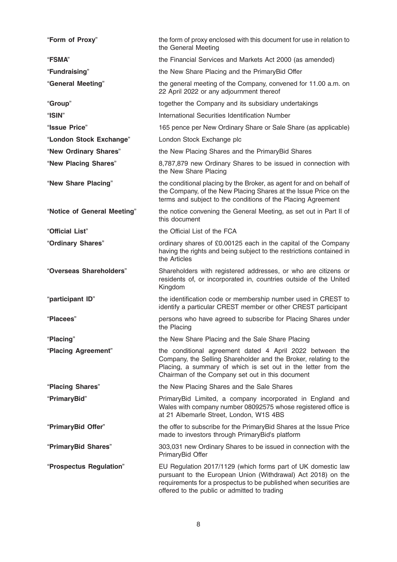| "Form of Proxy"             | the form of proxy enclosed with this document for use in relation to<br>the General Meeting                                                                                                                                                       |
|-----------------------------|---------------------------------------------------------------------------------------------------------------------------------------------------------------------------------------------------------------------------------------------------|
| "FSMA"                      | the Financial Services and Markets Act 2000 (as amended)                                                                                                                                                                                          |
| "Fundraising"               | the New Share Placing and the PrimaryBid Offer                                                                                                                                                                                                    |
| "General Meeting"           | the general meeting of the Company, convened for 11.00 a.m. on<br>22 April 2022 or any adjournment thereof                                                                                                                                        |
| "Group"                     | together the Company and its subsidiary undertakings                                                                                                                                                                                              |
| "ISIN"                      | International Securities Identification Number                                                                                                                                                                                                    |
| "Issue Price"               | 165 pence per New Ordinary Share or Sale Share (as applicable)                                                                                                                                                                                    |
| "London Stock Exchange"     | London Stock Exchange plc                                                                                                                                                                                                                         |
| "New Ordinary Shares"       | the New Placing Shares and the Primary Bid Shares                                                                                                                                                                                                 |
| "New Placing Shares"        | 8,787,879 new Ordinary Shares to be issued in connection with<br>the New Share Placing                                                                                                                                                            |
| "New Share Placing"         | the conditional placing by the Broker, as agent for and on behalf of<br>the Company, of the New Placing Shares at the Issue Price on the<br>terms and subject to the conditions of the Placing Agreement                                          |
| "Notice of General Meeting" | the notice convening the General Meeting, as set out in Part II of<br>this document                                                                                                                                                               |
| "Official List"             | the Official List of the FCA                                                                                                                                                                                                                      |
| "Ordinary Shares"           | ordinary shares of £0.00125 each in the capital of the Company<br>having the rights and being subject to the restrictions contained in<br>the Articles                                                                                            |
| "Overseas Shareholders"     | Shareholders with registered addresses, or who are citizens or<br>residents of, or incorporated in, countries outside of the United<br>Kingdom                                                                                                    |
| "participant ID"            | the identification code or membership number used in CREST to<br>identify a particular CREST member or other CREST participant                                                                                                                    |
| "Placees"                   | persons who have agreed to subscribe for Placing Shares under<br>the Placing                                                                                                                                                                      |
| "Placing"                   | the New Share Placing and the Sale Share Placing                                                                                                                                                                                                  |
| "Placing Agreement"         | the conditional agreement dated 4 April 2022 between the<br>Company, the Selling Shareholder and the Broker, relating to the<br>Placing, a summary of which is set out in the letter from the<br>Chairman of the Company set out in this document |
| "Placing Shares"            | the New Placing Shares and the Sale Shares                                                                                                                                                                                                        |
| "PrimaryBid"                | PrimaryBid Limited, a company incorporated in England and<br>Wales with company number 08092575 whose registered office is<br>at 21 Albemarle Street, London, W1S 4BS                                                                             |
| "PrimaryBid Offer"          | the offer to subscribe for the PrimaryBid Shares at the Issue Price<br>made to investors through PrimaryBid's platform                                                                                                                            |
| "PrimaryBid Shares"         | 303,031 new Ordinary Shares to be issued in connection with the<br>PrimaryBid Offer                                                                                                                                                               |
| "Prospectus Regulation"     | EU Regulation 2017/1129 (which forms part of UK domestic law<br>pursuant to the European Union (Withdrawal) Act 2018) on the<br>requirements for a prospectus to be published when securities are<br>offered to the public or admitted to trading |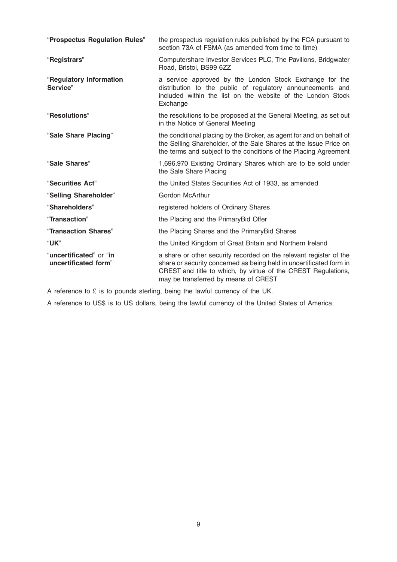| "Prospectus Regulation Rules"                   | the prospectus regulation rules published by the FCA pursuant to<br>section 73A of FSMA (as amended from time to time)                                                                                                                             |
|-------------------------------------------------|----------------------------------------------------------------------------------------------------------------------------------------------------------------------------------------------------------------------------------------------------|
| "Registrars"                                    | Computershare Investor Services PLC, The Pavilions, Bridgwater<br>Road, Bristol, BS99 6ZZ                                                                                                                                                          |
| "Regulatory Information<br>Service"             | a service approved by the London Stock Exchange for the<br>distribution to the public of regulatory announcements and<br>included within the list on the website of the London Stock<br>Exchange                                                   |
| "Resolutions"                                   | the resolutions to be proposed at the General Meeting, as set out<br>in the Notice of General Meeting                                                                                                                                              |
| "Sale Share Placing"                            | the conditional placing by the Broker, as agent for and on behalf of<br>the Selling Shareholder, of the Sale Shares at the Issue Price on<br>the terms and subject to the conditions of the Placing Agreement                                      |
| "Sale Shares"                                   | 1,696,970 Existing Ordinary Shares which are to be sold under<br>the Sale Share Placing                                                                                                                                                            |
| "Securities Act"                                | the United States Securities Act of 1933, as amended                                                                                                                                                                                               |
| "Selling Shareholder"                           | <b>Gordon McArthur</b>                                                                                                                                                                                                                             |
| "Shareholders"                                  | registered holders of Ordinary Shares                                                                                                                                                                                                              |
| "Transaction"                                   | the Placing and the Primary Bid Offer                                                                                                                                                                                                              |
| "Transaction Shares"                            | the Placing Shares and the Primary Bid Shares                                                                                                                                                                                                      |
| "UK"                                            | the United Kingdom of Great Britain and Northern Ireland                                                                                                                                                                                           |
| "uncertificated" or "in<br>uncertificated form" | a share or other security recorded on the relevant register of the<br>share or security concerned as being held in uncertificated form in<br>CREST and title to which, by virtue of the CREST Regulations,<br>may be transferred by means of CREST |

A reference to £ is to pounds sterling, being the lawful currency of the UK.

A reference to US\$ is to US dollars, being the lawful currency of the United States of America.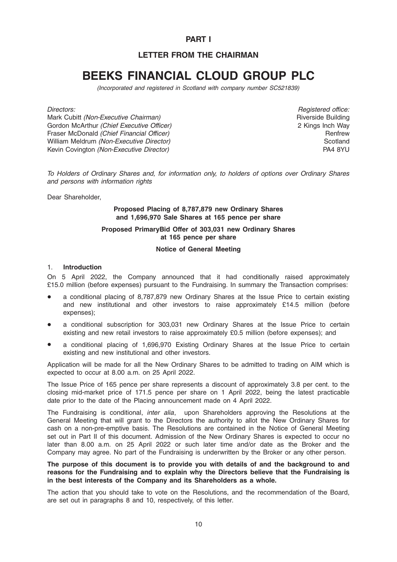### PART I

## LETTER FROM THE CHAIRMAN

## BEEKS FINANCIAL CLOUD GROUP PLC

(Incorporated and registered in Scotland with company number SC521839)

Directors:

Mark Cubitt (Non-Executive Chairman) Gordon McArthur (Chief Executive Officer) Fraser McDonald (Chief Financial Officer) William Meldrum (Non-Executive Director) Kevin Covington (Non-Executive Director)

Registered office: Riverside Building 2 Kings Inch Way Renfrew **Scotland** PA4 8YU

To Holders of Ordinary Shares and, for information only, to holders of options over Ordinary Shares and persons with information rights

Dear Shareholder,

#### Proposed Placing of 8,787,879 new Ordinary Shares and 1,696,970 Sale Shares at 165 pence per share

#### Proposed PrimaryBid Offer of 303,031 new Ordinary Shares at 165 pence per share

#### Notice of General Meeting

#### 1. Introduction

On 5 April 2022, the Company announced that it had conditionally raised approximately £15.0 million (before expenses) pursuant to the Fundraising. In summary the Transaction comprises:

- a conditional placing of 8,787,879 new Ordinary Shares at the Issue Price to certain existing and new institutional and other investors to raise approximately £14.5 million (before expenses);
- \* a conditional subscription for 303,031 new Ordinary Shares at the Issue Price to certain existing and new retail investors to raise approximately £0.5 million (before expenses); and
- a conditional placing of 1,696,970 Existing Ordinary Shares at the Issue Price to certain existing and new institutional and other investors.

Application will be made for all the New Ordinary Shares to be admitted to trading on AIM which is expected to occur at 8.00 a.m. on 25 April 2022.

The Issue Price of 165 pence per share represents a discount of approximately 3.8 per cent. to the closing mid-market price of 171.5 pence per share on 1 April 2022, being the latest practicable date prior to the date of the Placing announcement made on 4 April 2022.

The Fundraising is conditional, *inter alia*, upon Shareholders approving the Resolutions at the General Meeting that will grant to the Directors the authority to allot the New Ordinary Shares for cash on a non-pre-emptive basis. The Resolutions are contained in the Notice of General Meeting set out in Part II of this document. Admission of the New Ordinary Shares is expected to occur no later than 8.00 a.m. on 25 April 2022 or such later time and/or date as the Broker and the Company may agree. No part of the Fundraising is underwritten by the Broker or any other person.

The purpose of this document is to provide you with details of and the background to and reasons for the Fundraising and to explain why the Directors believe that the Fundraising is in the best interests of the Company and its Shareholders as a whole.

The action that you should take to vote on the Resolutions, and the recommendation of the Board, are set out in paragraphs 8 and 10, respectively, of this letter.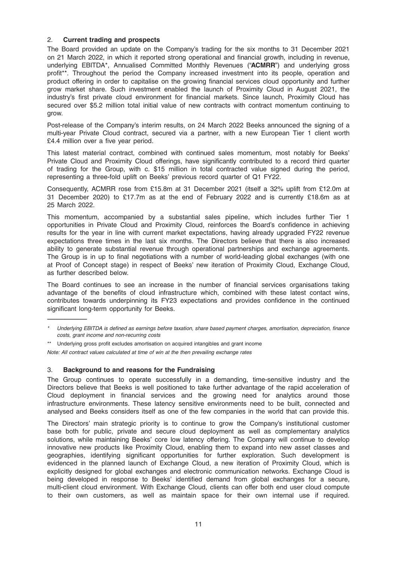#### 2. Current trading and prospects

The Board provided an update on the Company's trading for the six months to 31 December 2021 on 21 March 2022, in which it reported strong operational and financial growth, including in revenue, underlying EBITDA\*, Annualised Committed Monthly Revenues ("ACMRR") and underlying gross profit\*\*. Throughout the period the Company increased investment into its people, operation and product offering in order to capitalise on the growing financial services cloud opportunity and further grow market share. Such investment enabled the launch of Proximity Cloud in August 2021, the industry's first private cloud environment for financial markets. Since launch, Proximity Cloud has secured over \$5.2 million total initial value of new contracts with contract momentum continuing to grow.

Post-release of the Company's interim results, on 24 March 2022 Beeks announced the signing of a multi-year Private Cloud contract, secured via a partner, with a new European Tier 1 client worth £4.4 million over a five year period.

This latest material contract, combined with continued sales momentum, most notably for Beeks' Private Cloud and Proximity Cloud offerings, have significantly contributed to a record third quarter of trading for the Group, with c. \$15 million in total contracted value signed during the period, representing a three-fold uplift on Beeks' previous record quarter of Q1 FY22.

Consequently, ACMRR rose from £15.8m at 31 December 2021 (itself a 32% uplift from £12.0m at 31 December 2020) to £17.7m as at the end of February 2022 and is currently £18.6m as at 25 March 2022.

This momentum, accompanied by a substantial sales pipeline, which includes further Tier 1 opportunities in Private Cloud and Proximity Cloud, reinforces the Board's confidence in achieving results for the year in line with current market expectations, having already upgraded FY22 revenue expectations three times in the last six months. The Directors believe that there is also increased ability to generate substantial revenue through operational partnerships and exchange agreements. The Group is in up to final negotiations with a number of world-leading global exchanges (with one at Proof of Concept stage) in respect of Beeks' new iteration of Proximity Cloud, Exchange Cloud, as further described below.

The Board continues to see an increase in the number of financial services organisations taking advantage of the benefits of cloud infrastructure which, combined with these latest contact wins, contributes towards underpinning its FY23 expectations and provides confidence in the continued significant long-term opportunity for Beeks.

\*\* Underlying gross profit excludes amortisation on acquired intangibles and grant income

Note: All contract values calculated at time of win at the then prevailing exchange rates

#### 3. Background to and reasons for the Fundraising

—————

The Group continues to operate successfully in a demanding, time-sensitive industry and the Directors believe that Beeks is well positioned to take further advantage of the rapid acceleration of Cloud deployment in financial services and the growing need for analytics around those infrastructure environments. These latency sensitive environments need to be built, connected and analysed and Beeks considers itself as one of the few companies in the world that can provide this.

The Directors' main strategic priority is to continue to grow the Company's institutional customer base both for public, private and secure cloud deployment as well as complementary analytics solutions, while maintaining Beeks' core low latency offering. The Company will continue to develop innovative new products like Proximity Cloud, enabling them to expand into new asset classes and geographies, identifying significant opportunities for further exploration. Such development is evidenced in the planned launch of Exchange Cloud, a new iteration of Proximity Cloud, which is explicitly designed for global exchanges and electronic communication networks. Exchange Cloud is being developed in response to Beeks' identified demand from global exchanges for a secure, multi-client cloud environment. With Exchange Cloud, clients can offer both end user cloud compute to their own customers, as well as maintain space for their own internal use if required.

Underlying EBITDA is defined as earnings before taxation, share based payment charges, amortisation, depreciation, finance costs, grant income and non-recurring costs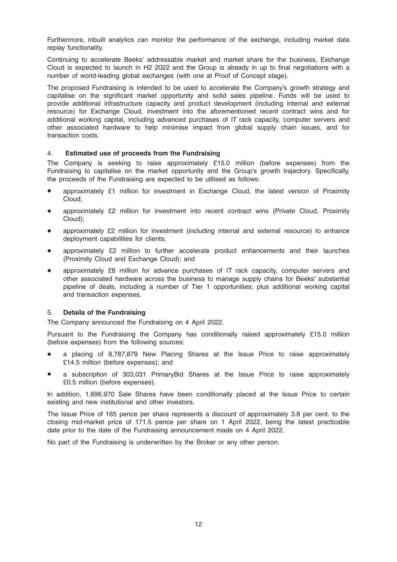Furthermore, inbuilt analytics can monitor the performance of the exchange, including market data replay functionality.

Continuing to accelerate Beeks' addressable market and market share for the business, Exchange Cloud is expected to launch in H2 2022 and the Group is already in up to final negotiations with a number of world-leading global exchanges (with one at Proof of Concept stage).

The proposed Fundraising is intended to be used to accelerate the Company's growth strategy and capitalise on the significant market opportunity and solid sales pipeline. Funds will be used to provide additional infrastructure capacity and product development (including internal and external resource) for Exchange Cloud, investment into the aforementioned recent contract wins and for additional working capital, including advanced purchases of IT rack capacity, computer servers and other associated hardware to help minimise impact from global supply chain issues, and for transaction costs.

#### 4. Estimated use of proceeds from the Fundraising

The Company is seeking to raise approximately £15.0 million (before expenses) from the Fundraising to capitalise on the market opportunity and the Group's growth trajectory. Specifically, the proceeds of the Fundraising are expected to be utilised as follows:

- approximately  $£1$  million for investment in Exchange Cloud, the latest version of Proximity Cloud;
- approximately £2 million for investment into recent contract wins (Private Cloud, Proximity Cloud);
- approximately £2 million for investment (including internal and external resource) to enhance deployment capabilities for clients;
- approximately £2 million to further accelerate product enhancements and their launches (Proximity Cloud and Exchange Cloud); and
- approximately £8 million for advance purchases of IT rack capacity, computer servers and other associated hardware across the business to manage supply chains for Beeks' substantial pipeline of deals, including a number of Tier 1 opportunities; plus additional working capital and transaction expenses.

#### 5. Details of the Fundraising

The Company announced the Fundraising on 4 April 2022.

Pursuant to the Fundraising the Company has conditionally raised approximately £15.0 million (before expenses) from the following sources:

- a placing of 8,787,879 New Placing Shares at the Issue Price to raise approximately £14.5 million (before expenses); and
- a subscription of 303,031 PrimaryBid Shares at the Issue Price to raise approximately £0.5 million (before expenses).

In addition, 1,696,970 Sale Shares have been conditionally placed at the Issue Price to certain existing and new institutional and other investors.

The Issue Price of 165 pence per share represents a discount of approximately 3.8 per cent. to the closing mid-market price of 171.5 pence per share on 1 April 2022, being the latest practicable date prior to the date of the Fundraising announcement made on 4 April 2022.

No part of the Fundraising is underwritten by the Broker or any other person.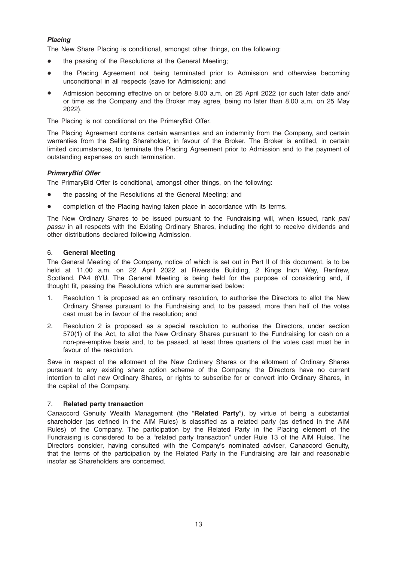#### Placing

The New Share Placing is conditional, amongst other things, on the following:

- the passing of the Resolutions at the General Meeting;
- the Placing Agreement not being terminated prior to Admission and otherwise becoming unconditional in all respects (save for Admission); and
- Admission becoming effective on or before 8.00 a.m. on 25 April 2022 (or such later date and/ or time as the Company and the Broker may agree, being no later than 8.00 a.m. on 25 May 2022).

The Placing is not conditional on the PrimaryBid Offer.

The Placing Agreement contains certain warranties and an indemnity from the Company, and certain warranties from the Selling Shareholder, in favour of the Broker. The Broker is entitled, in certain limited circumstances, to terminate the Placing Agreement prior to Admission and to the payment of outstanding expenses on such termination.

#### PrimaryBid Offer

The PrimaryBid Offer is conditional, amongst other things, on the following:

- the passing of the Resolutions at the General Meeting; and
- completion of the Placing having taken place in accordance with its terms.

The New Ordinary Shares to be issued pursuant to the Fundraising will, when issued, rank pari passu in all respects with the Existing Ordinary Shares, including the right to receive dividends and other distributions declared following Admission.

#### 6. General Meeting

The General Meeting of the Company, notice of which is set out in Part II of this document, is to be held at 11.00 a.m. on 22 April 2022 at Riverside Building, 2 Kings Inch Way, Renfrew, Scotland, PA4 8YU. The General Meeting is being held for the purpose of considering and, if thought fit, passing the Resolutions which are summarised below:

- 1. Resolution 1 is proposed as an ordinary resolution, to authorise the Directors to allot the New Ordinary Shares pursuant to the Fundraising and, to be passed, more than half of the votes cast must be in favour of the resolution; and
- 2. Resolution 2 is proposed as a special resolution to authorise the Directors, under section 570(1) of the Act, to allot the New Ordinary Shares pursuant to the Fundraising for cash on a non-pre-emptive basis and, to be passed, at least three quarters of the votes cast must be in favour of the resolution.

Save in respect of the allotment of the New Ordinary Shares or the allotment of Ordinary Shares pursuant to any existing share option scheme of the Company, the Directors have no current intention to allot new Ordinary Shares, or rights to subscribe for or convert into Ordinary Shares, in the capital of the Company.

#### 7. Related party transaction

Canaccord Genuity Wealth Management (the "Related Party"), by virtue of being a substantial shareholder (as defined in the AIM Rules) is classified as a related party (as defined in the AIM Rules) of the Company. The participation by the Related Party in the Placing element of the Fundraising is considered to be a "related party transaction" under Rule 13 of the AIM Rules. The Directors consider, having consulted with the Company's nominated adviser, Canaccord Genuity, that the terms of the participation by the Related Party in the Fundraising are fair and reasonable insofar as Shareholders are concerned.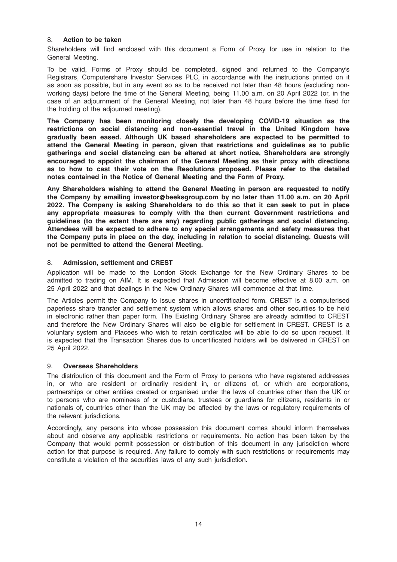#### 8. Action to be taken

Shareholders will find enclosed with this document a Form of Proxy for use in relation to the General Meeting.

To be valid, Forms of Proxy should be completed, signed and returned to the Company's Registrars, Computershare Investor Services PLC, in accordance with the instructions printed on it as soon as possible, but in any event so as to be received not later than 48 hours (excluding nonworking days) before the time of the General Meeting, being 11.00 a.m. on 20 April 2022 (or, in the case of an adjournment of the General Meeting, not later than 48 hours before the time fixed for the holding of the adjourned meeting).

The Company has been monitoring closely the developing COVID-19 situation as the restrictions on social distancing and non-essential travel in the United Kingdom have gradually been eased. Although UK based shareholders are expected to be permitted to attend the General Meeting in person, given that restrictions and guidelines as to public gatherings and social distancing can be altered at short notice, Shareholders are strongly encouraged to appoint the chairman of the General Meeting as their proxy with directions as to how to cast their vote on the Resolutions proposed. Please refer to the detailed notes contained in the Notice of General Meeting and the Form of Proxy.

Any Shareholders wishing to attend the General Meeting in person are requested to notify the Company by emailing investor@beeksgroup.com by no later than 11.00 a.m. on 20 April 2022. The Company is asking Shareholders to do this so that it can seek to put in place any appropriate measures to comply with the then current Government restrictions and guidelines (to the extent there are any) regarding public gatherings and social distancing. Attendees will be expected to adhere to any special arrangements and safety measures that the Company puts in place on the day, including in relation to social distancing. Guests will not be permitted to attend the General Meeting.

#### 8. Admission, settlement and CREST

Application will be made to the London Stock Exchange for the New Ordinary Shares to be admitted to trading on AIM. It is expected that Admission will become effective at 8.00 a.m. on 25 April 2022 and that dealings in the New Ordinary Shares will commence at that time.

The Articles permit the Company to issue shares in uncertificated form. CREST is a computerised paperless share transfer and settlement system which allows shares and other securities to be held in electronic rather than paper form. The Existing Ordinary Shares are already admitted to CREST and therefore the New Ordinary Shares will also be eligible for settlement in CREST. CREST is a voluntary system and Placees who wish to retain certificates will be able to do so upon request. It is expected that the Transaction Shares due to uncertificated holders will be delivered in CREST on 25 April 2022.

#### 9. Overseas Shareholders

The distribution of this document and the Form of Proxy to persons who have registered addresses in, or who are resident or ordinarily resident in, or citizens of, or which are corporations, partnerships or other entities created or organised under the laws of countries other than the UK or to persons who are nominees of or custodians, trustees or guardians for citizens, residents in or nationals of, countries other than the UK may be affected by the laws or regulatory requirements of the relevant jurisdictions.

Accordingly, any persons into whose possession this document comes should inform themselves about and observe any applicable restrictions or requirements. No action has been taken by the Company that would permit possession or distribution of this document in any jurisdiction where action for that purpose is required. Any failure to comply with such restrictions or requirements may constitute a violation of the securities laws of any such jurisdiction.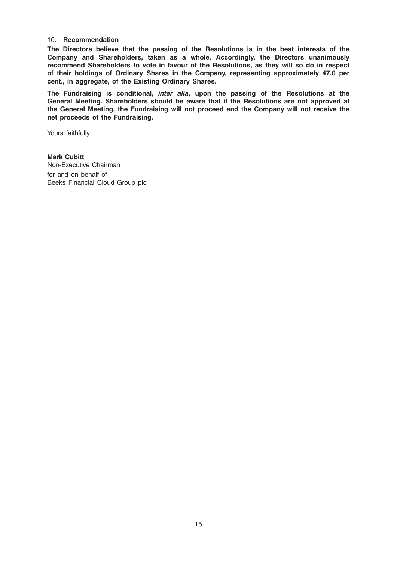#### 10. Recommendation

The Directors believe that the passing of the Resolutions is in the best interests of the Company and Shareholders, taken as a whole. Accordingly, the Directors unanimously recommend Shareholders to vote in favour of the Resolutions, as they will so do in respect of their holdings of Ordinary Shares in the Company, representing approximately 47.0 per cent., in aggregate, of the Existing Ordinary Shares.

The Fundraising is conditional, inter alia, upon the passing of the Resolutions at the General Meeting. Shareholders should be aware that if the Resolutions are not approved at the General Meeting, the Fundraising will not proceed and the Company will not receive the net proceeds of the Fundraising.

Yours faithfully

Mark Cubitt Non-Executive Chairman for and on behalf of Beeks Financial Cloud Group plc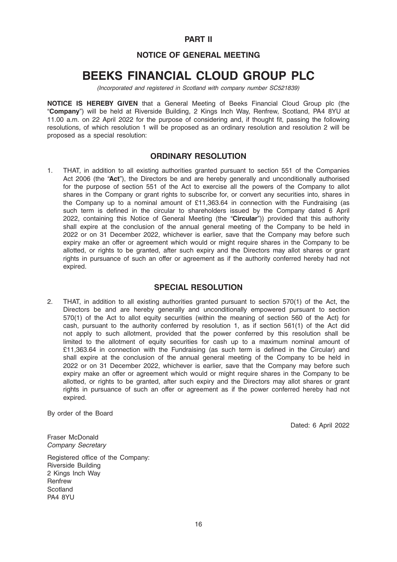#### PART II

### NOTICE OF GENERAL MEETING

## BEEKS FINANCIAL CLOUD GROUP PLC

(Incorporated and registered in Scotland with company number SC521839)

NOTICE IS HEREBY GIVEN that a General Meeting of Beeks Financial Cloud Group plc (the "Company") will be held at Riverside Building, 2 Kings Inch Way, Renfrew, Scotland, PA4 8YU at 11.00 a.m. on 22 April 2022 for the purpose of considering and, if thought fit, passing the following resolutions, of which resolution 1 will be proposed as an ordinary resolution and resolution 2 will be proposed as a special resolution:

#### ORDINARY RESOLUTION

1. THAT, in addition to all existing authorities granted pursuant to section 551 of the Companies Act 2006 (the "Act"), the Directors be and are hereby generally and unconditionally authorised for the purpose of section 551 of the Act to exercise all the powers of the Company to allot shares in the Company or grant rights to subscribe for, or convert any securities into, shares in the Company up to a nominal amount of £11,363.64 in connection with the Fundraising (as such term is defined in the circular to shareholders issued by the Company dated 6 April 2022, containing this Notice of General Meeting (the "Circular")) provided that this authority shall expire at the conclusion of the annual general meeting of the Company to be held in 2022 or on 31 December 2022, whichever is earlier, save that the Company may before such expiry make an offer or agreement which would or might require shares in the Company to be allotted, or rights to be granted, after such expiry and the Directors may allot shares or grant rights in pursuance of such an offer or agreement as if the authority conferred hereby had not expired.

#### SPECIAL RESOLUTION

2. THAT, in addition to all existing authorities granted pursuant to section 570(1) of the Act, the Directors be and are hereby generally and unconditionally empowered pursuant to section 570(1) of the Act to allot equity securities (within the meaning of section 560 of the Act) for cash, pursuant to the authority conferred by resolution 1, as if section 561(1) of the Act did not apply to such allotment, provided that the power conferred by this resolution shall be limited to the allotment of equity securities for cash up to a maximum nominal amount of £11,363.64 in connection with the Fundraising (as such term is defined in the Circular) and shall expire at the conclusion of the annual general meeting of the Company to be held in 2022 or on 31 December 2022, whichever is earlier, save that the Company may before such expiry make an offer or agreement which would or might require shares in the Company to be allotted, or rights to be granted, after such expiry and the Directors may allot shares or grant rights in pursuance of such an offer or agreement as if the power conferred hereby had not expired.

By order of the Board

Dated: 6 April 2022

Fraser McDonald Company Secretary

Registered office of the Company: Riverside Building 2 Kings Inch Way Renfrew Scotland PA4 8YU